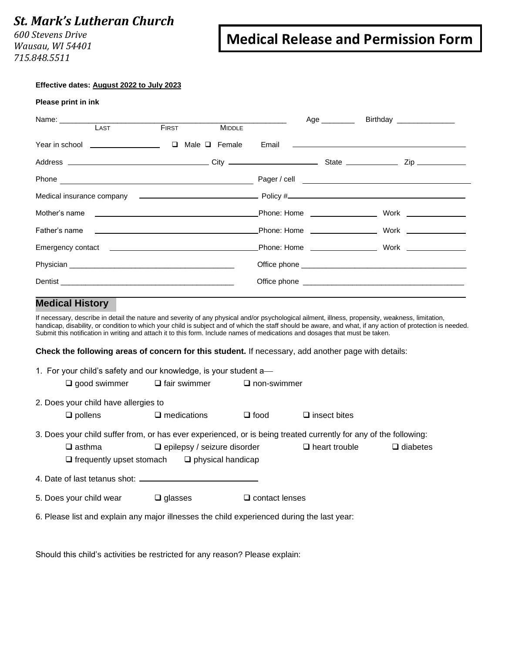## *St. Mark's Lutheran Church*

*600 Stevens Drive Wausau, WI 54401 715.848.5511*

# **Medical Release and Permission Form**

#### **Effective dates: August 2022 to July 2023**

| Please print in ink |  |  |
|---------------------|--|--|
|                     |  |  |

| LAST | <b>FIRST</b> | <b>MIDDLE</b> | Age ________ | Birthday _________________                                        |
|------|--------------|---------------|--------------|-------------------------------------------------------------------|
|      |              |               |              |                                                                   |
|      |              |               |              |                                                                   |
|      |              |               |              |                                                                   |
|      |              |               |              |                                                                   |
|      |              |               |              | Mother's name                         Phone: Home            Work |
|      |              |               |              |                                                                   |
|      |              |               |              |                                                                   |
|      |              |               |              |                                                                   |
|      |              |               |              |                                                                   |

### **Medical History**

If necessary, describe in detail the nature and severity of any physical and/or psychological ailment, illness, propensity, weakness, limitation, handicap, disability, or condition to which your child is subject and of which the staff should be aware, and what, if any action of protection is needed. Submit this notification in writing and attach it to this form. Include names of medications and dosages that must be taken.

**Check the following areas of concern for this student.** If necessary, add another page with details:

|                                      | 1. For your child's safety and our knowledge, is your student a—                           |                       |                                                                                                                  |                 |
|--------------------------------------|--------------------------------------------------------------------------------------------|-----------------------|------------------------------------------------------------------------------------------------------------------|-----------------|
| $\square$ good swimmer               | $\Box$ fair swimmer                                                                        | $\Box$ non-swimmer    |                                                                                                                  |                 |
| 2. Does your child have allergies to |                                                                                            |                       |                                                                                                                  |                 |
| $\Box$ pollens                       | $\Box$ medications                                                                         | $\square$ food        | $\Box$ insect bites                                                                                              |                 |
|                                      |                                                                                            |                       | 3. Does your child suffer from, or has ever experienced, or is being treated currently for any of the following: |                 |
| $\square$ asthma                     | $\Box$ epilepsy / seizure disorder                                                         |                       | $\Box$ heart trouble                                                                                             | $\Box$ diabetes |
| $\Box$ frequently upset stomach      | $\Box$ physical handicap                                                                   |                       |                                                                                                                  |                 |
|                                      |                                                                                            |                       |                                                                                                                  |                 |
| 5. Does your child wear              | $\Box$ glasses                                                                             | $\Box$ contact lenses |                                                                                                                  |                 |
|                                      | 6. Please list and explain any major illnesses the child experienced during the last year: |                       |                                                                                                                  |                 |

Should this child's activities be restricted for any reason? Please explain: